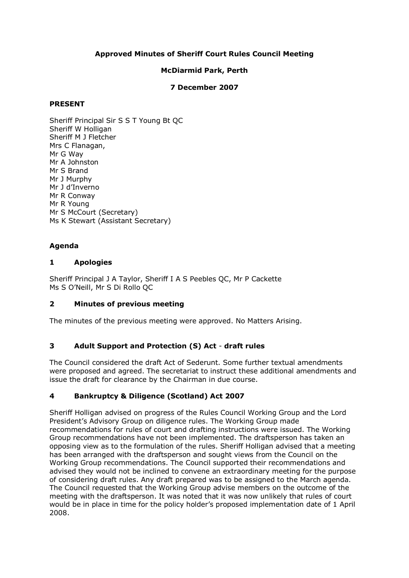## **Approved Minutes of Sheriff Court Rules Council Meeting**

## **McDiarmid Park, Perth**

### **7 December 2007**

## **PRESENT**

Sheriff Principal Sir S S T Young Bt QC Sheriff W Holligan Sheriff M J Fletcher Mrs C Flanagan, Mr G Way Mr A Johnston Mr S Brand Mr J Murphy Mr J d'Inverno Mr R Conway Mr R Young Mr S McCourt (Secretary) Ms K Stewart (Assistant Secretary)

## **Agenda**

## **1 Apologies**

Sheriff Principal J A Taylor, Sheriff I A S Peebles QC, Mr P Cackette Ms S O'Neill, Mr S Di Rollo QC

## **2 Minutes of previous meeting**

The minutes of the previous meeting were approved. No Matters Arising.

## **3 Adult Support and Protection (S) Act draft rules**

The Council considered the draft Act of Sederunt. Some further textual amendments were proposed and agreed. The secretariat to instruct these additional amendments and issue the draft for clearance by the Chairman in due course.

## **4 Bankruptcy & Diligence (Scotland) Act 2007**

Sheriff Holligan advised on progress of the Rules Council Working Group and the Lord President's Advisory Group on diligence rules. The Working Group made recommendations for rules of court and drafting instructions were issued. The Working Group recommendations have not been implemented. The draftsperson has taken an opposing view as to the formulation of the rules. Sheriff Holligan advised that a meeting has been arranged with the draftsperson and sought views from the Council on the Working Group recommendations. The Council supported their recommendations and advised they would not be inclined to convene an extraordinary meeting for the purpose of considering draft rules. Any draft prepared was to be assigned to the March agenda. The Council requested that the Working Group advise members on the outcome of the meeting with the draftsperson. It was noted that it was now unlikely that rules of court would be in place in time for the policy holder's proposed implementation date of 1 April 2008.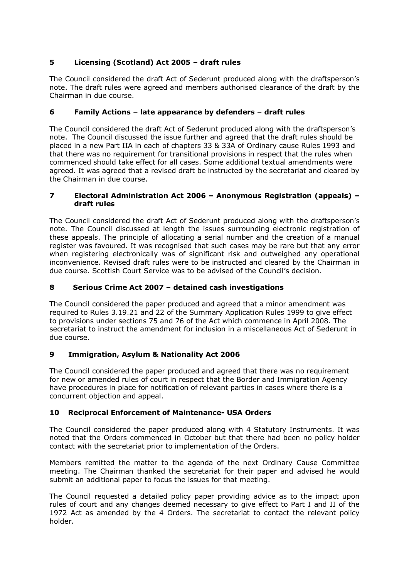# **5 Licensing (Scotland) Act 2005 – draft rules**

The Council considered the draft Act of Sederunt produced along with the draftsperson's note. The draft rules were agreed and members authorised clearance of the draft by the Chairman in due course.

# **6 Family Actions – late appearance by defenders – draft rules**

The Council considered the draft Act of Sederunt produced along with the draftsperson's note. The Council discussed the issue further and agreed that the draft rules should be placed in a new Part IIA in each of chapters 33 & 33A of Ordinary cause Rules 1993 and that there was no requirement for transitional provisions in respect that the rules when commenced should take effect for all cases. Some additional textual amendments were agreed. It was agreed that a revised draft be instructed by the secretariat and cleared by the Chairman in due course.

### **7 Electoral Administration Act 2006 – Anonymous Registration (appeals) – draft rules**

The Council considered the draft Act of Sederunt produced along with the draftsperson's note. The Council discussed at length the issues surrounding electronic registration of these appeals. The principle of allocating a serial number and the creation of a manual register was favoured. It was recognised that such cases may be rare but that any error when registering electronically was of significant risk and outweighed any operational inconvenience. Revised draft rules were to be instructed and cleared by the Chairman in due course. Scottish Court Service was to be advised of the Council's decision.

# **8 Serious Crime Act 2007 – detained cash investigations**

The Council considered the paper produced and agreed that a minor amendment was required to Rules 3.19.21 and 22 of the Summary Application Rules 1999 to give effect to provisions under sections 75 and 76 of the Act which commence in April 2008. The secretariat to instruct the amendment for inclusion in a miscellaneous Act of Sederunt in due course.

## **9 Immigration, Asylum & Nationality Act 2006**

The Council considered the paper produced and agreed that there was no requirement for new or amended rules of court in respect that the Border and Immigration Agency have procedures in place for notification of relevant parties in cases where there is a concurrent objection and appeal.

## **10 Reciprocal Enforcement of Maintenance USA Orders**

The Council considered the paper produced along with 4 Statutory Instruments. It was noted that the Orders commenced in October but that there had been no policy holder contact with the secretariat prior to implementation of the Orders.

Members remitted the matter to the agenda of the next Ordinary Cause Committee meeting. The Chairman thanked the secretariat for their paper and advised he would submit an additional paper to focus the issues for that meeting.

The Council requested a detailed policy paper providing advice as to the impact upon rules of court and any changes deemed necessary to give effect to Part I and II of the 1972 Act as amended by the 4 Orders. The secretariat to contact the relevant policy holder.